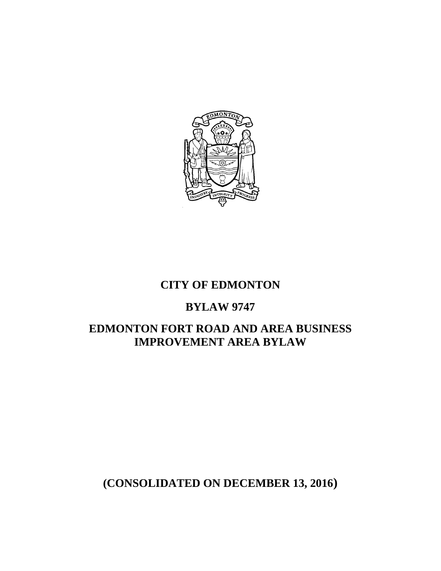

# **CITY OF EDMONTON**

## **BYLAW 9747**

# **EDMONTON FORT ROAD AND AREA BUSINESS IMPROVEMENT AREA BYLAW**

# **(CONSOLIDATED ON DECEMBER 13, 2016)**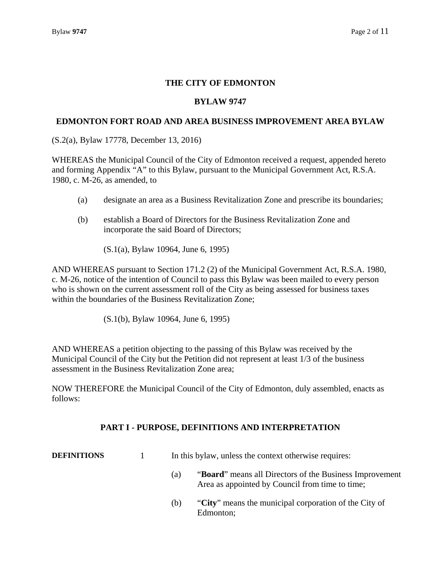### **THE CITY OF EDMONTON**

#### **BYLAW 9747**

#### **EDMONTON FORT ROAD AND AREA BUSINESS IMPROVEMENT AREA BYLAW**

(S.2(a), Bylaw 17778, December 13, 2016)

WHEREAS the Municipal Council of the City of Edmonton received a request, appended hereto and forming Appendix "A" to this Bylaw, pursuant to the Municipal Government Act, R.S.A. 1980, c. M-26, as amended, to

- (a) designate an area as a Business Revitalization Zone and prescribe its boundaries;
- (b) establish a Board of Directors for the Business Revitalization Zone and incorporate the said Board of Directors;

(S.1(a), Bylaw 10964, June 6, 1995)

AND WHEREAS pursuant to Section 171.2 (2) of the Municipal Government Act, R.S.A. 1980, c. M-26, notice of the intention of Council to pass this Bylaw was been mailed to every person who is shown on the current assessment roll of the City as being assessed for business taxes within the boundaries of the Business Revitalization Zone;

(S.1(b), Bylaw 10964, June 6, 1995)

AND WHEREAS a petition objecting to the passing of this Bylaw was received by the Municipal Council of the City but the Petition did not represent at least 1/3 of the business assessment in the Business Revitalization Zone area;

NOW THEREFORE the Municipal Council of the City of Edmonton, duly assembled, enacts as follows:

#### **PART I - PURPOSE, DEFINITIONS AND INTERPRETATION**

| <b>DEFINITIONS</b><br>In this bylaw, unless the context otherwise requires: |  |
|-----------------------------------------------------------------------------|--|
|-----------------------------------------------------------------------------|--|

- (a) "**Board**" means all Directors of the Business Improvement Area as appointed by Council from time to time;
- (b) "**City**" means the municipal corporation of the City of Edmonton;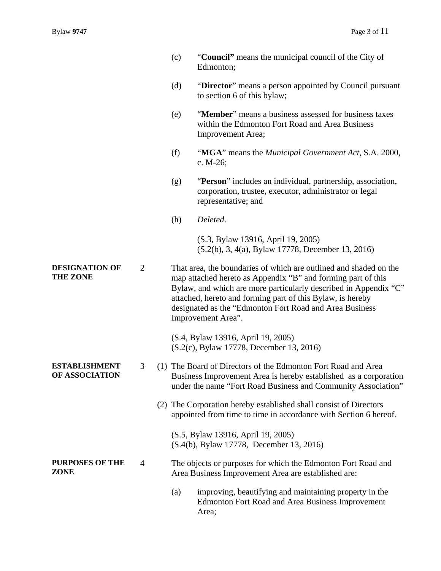| (c) | "Council" means the municipal council of the City of |
|-----|------------------------------------------------------|
|     | Edmonton;                                            |

- (d) "**Director**" means a person appointed by Council pursuant to section 6 of this bylaw;
- (e) "**Member**" means a business assessed for business taxes within the Edmonton Fort Road and Area Business Improvement Area;
- (f) "**MGA**" means the *Municipal Government Act*, S.A. 2000, c. M-26;
- (g) "**Person**" includes an individual, partnership, association, corporation, trustee, executor, administrator or legal representative; and
- (h) *Deleted*.

(S.3, Bylaw 13916, April 19, 2005) (S.2(b), 3, 4(a), Bylaw 17778, December 13, 2016)

**DESIGNATION OF THE ZONE**  2 That area, the boundaries of which are outlined and shaded on the map attached hereto as Appendix "B" and forming part of this Bylaw, and which are more particularly described in Appendix "C" attached, hereto and forming part of this Bylaw, is hereby designated as the "Edmonton Fort Road and Area Business Improvement Area".

> (S.4, Bylaw 13916, April 19, 2005) (S.2(c), Bylaw 17778, December 13, 2016)

- **ESTABLISHMENT OF ASSOCIATION**  3 (1) The Board of Directors of the Edmonton Fort Road and Area Business Improvement Area is hereby established as a corporation under the name "Fort Road Business and Community Association"
	- (2) The Corporation hereby established shall consist of Directors appointed from time to time in accordance with Section 6 hereof.

(S.5, Bylaw 13916, April 19, 2005) (S.4(b), Bylaw 17778, December 13, 2016)

#### **PURPOSES OF THE ZONE**  4 The objects or purposes for which the Edmonton Fort Road and Area Business Improvement Area are established are:

(a) improving, beautifying and maintaining property in the Edmonton Fort Road and Area Business Improvement Area;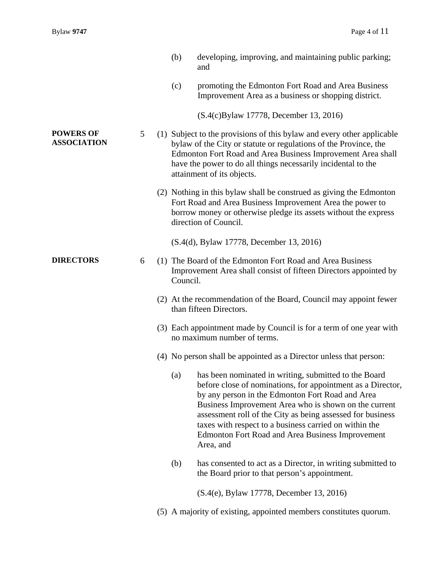|                                        |   |                                     | (b)                                                                                                | developing, improving, and maintaining public parking;<br>and                                                                                                                                                                                                                                                                                                                                                                         |
|----------------------------------------|---|-------------------------------------|----------------------------------------------------------------------------------------------------|---------------------------------------------------------------------------------------------------------------------------------------------------------------------------------------------------------------------------------------------------------------------------------------------------------------------------------------------------------------------------------------------------------------------------------------|
|                                        |   |                                     | (c)                                                                                                | promoting the Edmonton Fort Road and Area Business<br>Improvement Area as a business or shopping district.                                                                                                                                                                                                                                                                                                                            |
|                                        |   |                                     |                                                                                                    | (S.4(c)Bylaw 17778, December 13, 2016)                                                                                                                                                                                                                                                                                                                                                                                                |
| <b>POWERS OF</b><br><b>ASSOCIATION</b> | 5 |                                     |                                                                                                    | (1) Subject to the provisions of this bylaw and every other applicable<br>bylaw of the City or statute or regulations of the Province, the<br>Edmonton Fort Road and Area Business Improvement Area shall<br>have the power to do all things necessarily incidental to the<br>attainment of its objects.                                                                                                                              |
|                                        |   |                                     |                                                                                                    | (2) Nothing in this bylaw shall be construed as giving the Edmonton<br>Fort Road and Area Business Improvement Area the power to<br>borrow money or otherwise pledge its assets without the express<br>direction of Council.                                                                                                                                                                                                          |
|                                        |   |                                     |                                                                                                    | (S.4(d), Bylaw 17778, December 13, 2016)                                                                                                                                                                                                                                                                                                                                                                                              |
| <b>DIRECTORS</b>                       | 6 | Council.<br>than fifteen Directors. |                                                                                                    | (1) The Board of the Edmonton Fort Road and Area Business<br>Improvement Area shall consist of fifteen Directors appointed by                                                                                                                                                                                                                                                                                                         |
|                                        |   |                                     |                                                                                                    | (2) At the recommendation of the Board, Council may appoint fewer                                                                                                                                                                                                                                                                                                                                                                     |
|                                        |   |                                     | (3) Each appointment made by Council is for a term of one year with<br>no maximum number of terms. |                                                                                                                                                                                                                                                                                                                                                                                                                                       |
|                                        |   |                                     |                                                                                                    | (4) No person shall be appointed as a Director unless that person:                                                                                                                                                                                                                                                                                                                                                                    |
|                                        |   |                                     |                                                                                                    | (a) has been nominated in writing, submitted to the Board<br>before close of nominations, for appointment as a Director,<br>by any person in the Edmonton Fort Road and Area<br>Business Improvement Area who is shown on the current<br>assessment roll of the City as being assessed for business<br>taxes with respect to a business carried on within the<br><b>Edmonton Fort Road and Area Business Improvement</b><br>Area, and |
|                                        |   |                                     | (b)                                                                                                | has consented to act as a Director, in writing submitted to<br>the Board prior to that person's appointment.                                                                                                                                                                                                                                                                                                                          |
|                                        |   |                                     |                                                                                                    | (S.4(e), Bylaw 17778, December 13, 2016)                                                                                                                                                                                                                                                                                                                                                                                              |
|                                        |   |                                     |                                                                                                    | (5) A majority of existing, appointed members constitutes quorum.                                                                                                                                                                                                                                                                                                                                                                     |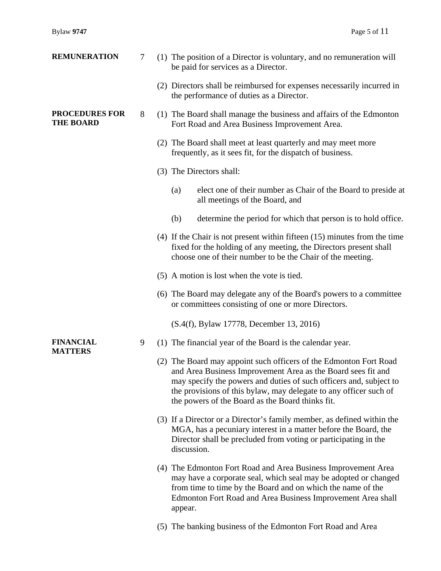| <b>REMUNERATION</b>                       | $\tau$ | (1) The position of a Director is voluntary, and no remuneration will<br>be paid for services as a Director.                                                                                                                                                                                                                     |
|-------------------------------------------|--------|----------------------------------------------------------------------------------------------------------------------------------------------------------------------------------------------------------------------------------------------------------------------------------------------------------------------------------|
|                                           |        | (2) Directors shall be reimbursed for expenses necessarily incurred in<br>the performance of duties as a Director.                                                                                                                                                                                                               |
| <b>PROCEDURES FOR</b><br><b>THE BOARD</b> | 8      | (1) The Board shall manage the business and affairs of the Edmonton<br>Fort Road and Area Business Improvement Area.                                                                                                                                                                                                             |
|                                           |        | (2) The Board shall meet at least quarterly and may meet more<br>frequently, as it sees fit, for the dispatch of business.                                                                                                                                                                                                       |
|                                           |        | (3) The Directors shall:                                                                                                                                                                                                                                                                                                         |
|                                           |        | elect one of their number as Chair of the Board to preside at<br>(a)<br>all meetings of the Board, and                                                                                                                                                                                                                           |
|                                           |        | determine the period for which that person is to hold office.<br>(b)                                                                                                                                                                                                                                                             |
|                                           |        | $(4)$ If the Chair is not present within fifteen $(15)$ minutes from the time<br>fixed for the holding of any meeting, the Directors present shall<br>choose one of their number to be the Chair of the meeting.                                                                                                                 |
|                                           |        | (5) A motion is lost when the vote is tied.                                                                                                                                                                                                                                                                                      |
|                                           |        | (6) The Board may delegate any of the Board's powers to a committee<br>or committees consisting of one or more Directors.                                                                                                                                                                                                        |
|                                           |        | (S.4(f), Bylaw 17778, December 13, 2016)                                                                                                                                                                                                                                                                                         |
| <b>FINANCIAL</b><br><b>MATTERS</b>        | 9      | (1) The financial year of the Board is the calendar year.                                                                                                                                                                                                                                                                        |
|                                           |        | (2) The Board may appoint such officers of the Edmonton Fort Road<br>and Area Business Improvement Area as the Board sees fit and<br>may specify the powers and duties of such officers and, subject to<br>the provisions of this bylaw, may delegate to any officer such of<br>the powers of the Board as the Board thinks fit. |
|                                           |        | (3) If a Director or a Director's family member, as defined within the<br>MGA, has a pecuniary interest in a matter before the Board, the<br>Director shall be precluded from voting or participating in the<br>discussion.                                                                                                      |
|                                           |        | (4) The Edmonton Fort Road and Area Business Improvement Area<br>may have a corporate seal, which seal may be adopted or changed<br>from time to time by the Board and on which the name of the<br>Edmonton Fort Road and Area Business Improvement Area shall<br>appear.                                                        |
|                                           |        |                                                                                                                                                                                                                                                                                                                                  |

(5) The banking business of the Edmonton Fort Road and Area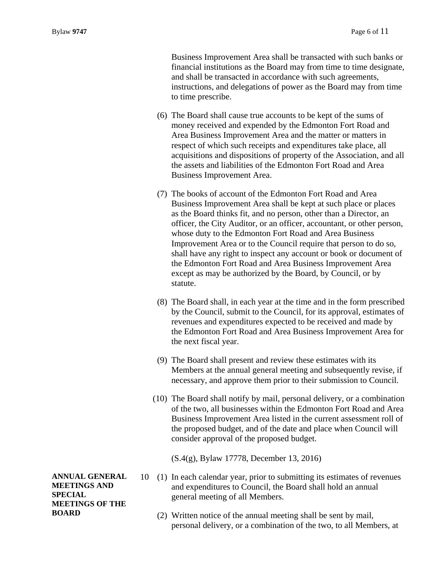Business Improvement Area shall be transacted with such banks or financial institutions as the Board may from time to time designate, and shall be transacted in accordance with such agreements, instructions, and delegations of power as the Board may from time to time prescribe.

- (6) The Board shall cause true accounts to be kept of the sums of money received and expended by the Edmonton Fort Road and Area Business Improvement Area and the matter or matters in respect of which such receipts and expenditures take place, all acquisitions and dispositions of property of the Association, and all the assets and liabilities of the Edmonton Fort Road and Area Business Improvement Area.
- (7) The books of account of the Edmonton Fort Road and Area Business Improvement Area shall be kept at such place or places as the Board thinks fit, and no person, other than a Director, an officer, the City Auditor, or an officer, accountant, or other person, whose duty to the Edmonton Fort Road and Area Business Improvement Area or to the Council require that person to do so, shall have any right to inspect any account or book or document of the Edmonton Fort Road and Area Business Improvement Area except as may be authorized by the Board, by Council, or by statute.
- (8) The Board shall, in each year at the time and in the form prescribed by the Council, submit to the Council, for its approval, estimates of revenues and expenditures expected to be received and made by the Edmonton Fort Road and Area Business Improvement Area for the next fiscal year.
- (9) The Board shall present and review these estimates with its Members at the annual general meeting and subsequently revise, if necessary, and approve them prior to their submission to Council.
- (10) The Board shall notify by mail, personal delivery, or a combination of the two, all businesses within the Edmonton Fort Road and Area Business Improvement Area listed in the current assessment roll of the proposed budget, and of the date and place when Council will consider approval of the proposed budget.

(S.4(g), Bylaw 17778, December 13, 2016)

- 10 (1) In each calendar year, prior to submitting its estimates of revenues and expenditures to Council, the Board shall hold an annual general meeting of all Members.
	- (2) Written notice of the annual meeting shall be sent by mail, personal delivery, or a combination of the two, to all Members, at

**ANNUAL GENERAL MEETINGS AND SPECIAL MEETINGS OF THE BOARD**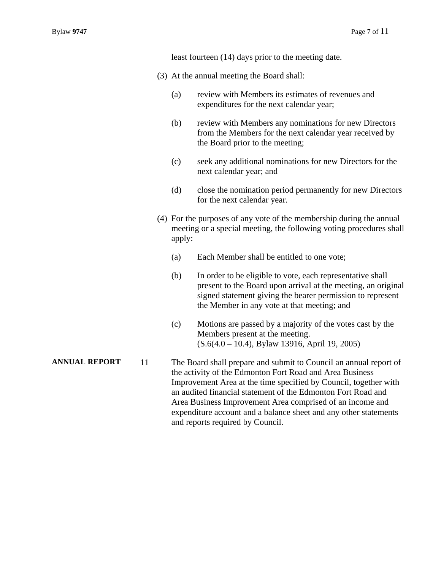|                      |        |                                                                                                                                                                                                                                                                                                                                                                                                                                        | least fourteen (14) days prior to the meeting date.                                                                                                                                                                                      |  |  |  |
|----------------------|--------|----------------------------------------------------------------------------------------------------------------------------------------------------------------------------------------------------------------------------------------------------------------------------------------------------------------------------------------------------------------------------------------------------------------------------------------|------------------------------------------------------------------------------------------------------------------------------------------------------------------------------------------------------------------------------------------|--|--|--|
|                      |        |                                                                                                                                                                                                                                                                                                                                                                                                                                        | (3) At the annual meeting the Board shall:                                                                                                                                                                                               |  |  |  |
|                      |        | (a)                                                                                                                                                                                                                                                                                                                                                                                                                                    | review with Members its estimates of revenues and<br>expenditures for the next calendar year;                                                                                                                                            |  |  |  |
|                      |        | (b)                                                                                                                                                                                                                                                                                                                                                                                                                                    | review with Members any nominations for new Directors<br>from the Members for the next calendar year received by<br>the Board prior to the meeting;                                                                                      |  |  |  |
|                      |        | (c)                                                                                                                                                                                                                                                                                                                                                                                                                                    | seek any additional nominations for new Directors for the<br>next calendar year; and                                                                                                                                                     |  |  |  |
|                      |        | (d)                                                                                                                                                                                                                                                                                                                                                                                                                                    | close the nomination period permanently for new Directors<br>for the next calendar year.                                                                                                                                                 |  |  |  |
|                      | apply: |                                                                                                                                                                                                                                                                                                                                                                                                                                        | (4) For the purposes of any vote of the membership during the annual<br>meeting or a special meeting, the following voting procedures shall                                                                                              |  |  |  |
|                      |        | (a)                                                                                                                                                                                                                                                                                                                                                                                                                                    | Each Member shall be entitled to one vote;                                                                                                                                                                                               |  |  |  |
|                      |        | (b)                                                                                                                                                                                                                                                                                                                                                                                                                                    | In order to be eligible to vote, each representative shall<br>present to the Board upon arrival at the meeting, an original<br>signed statement giving the bearer permission to represent<br>the Member in any vote at that meeting; and |  |  |  |
|                      |        | (c)                                                                                                                                                                                                                                                                                                                                                                                                                                    | Motions are passed by a majority of the votes cast by the<br>Members present at the meeting.<br>$(S.6(4.0 – 10.4), Bylaw 13916, April 19, 2005)$                                                                                         |  |  |  |
| <b>ANNUAL REPORT</b> | 11     | The Board shall prepare and submit to Council an annual report of<br>the activity of the Edmonton Fort Road and Area Business<br>Improvement Area at the time specified by Council, together with<br>an audited financial statement of the Edmonton Fort Road and<br>Area Business Improvement Area comprised of an income and<br>expenditure account and a balance sheet and any other statements<br>and reports required by Council. |                                                                                                                                                                                                                                          |  |  |  |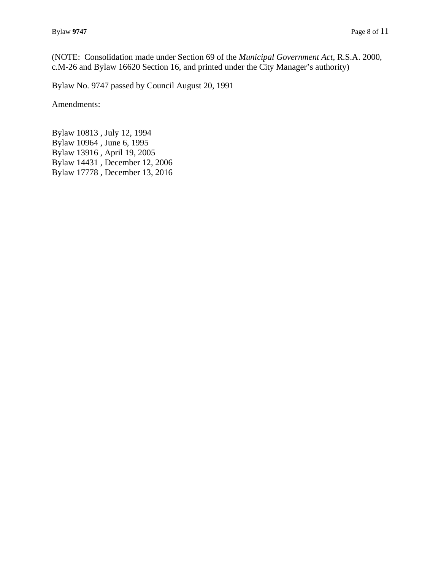(NOTE: Consolidation made under Section 69 of the *Municipal Government Act,* R.S.A. 2000, c.M-26 and Bylaw 16620 Section 16, and printed under the City Manager's authority)

Bylaw No. 9747 passed by Council August 20, 1991

Amendments:

Bylaw 10813 , July 12, 1994 Bylaw 10964 , June 6, 1995 Bylaw 13916 , April 19, 2005 Bylaw 14431 , December 12, 2006 Bylaw 17778 , December 13, 2016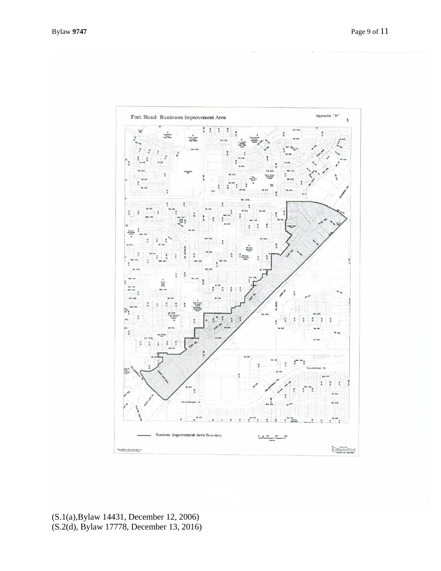

(S.1(a),Bylaw 14431, December 12, 2006) (S.2(d), Bylaw 17778, December 13, 2016)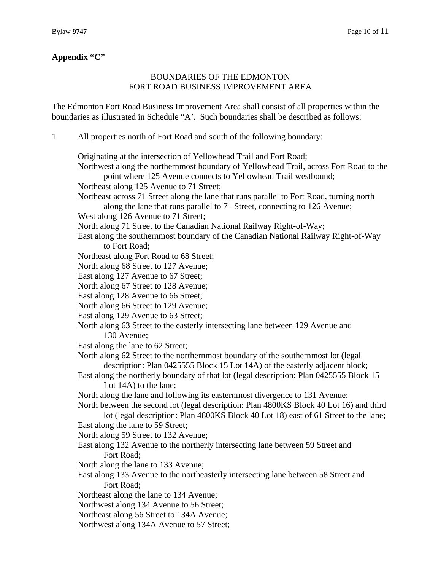#### **Appendix "C"**

#### BOUNDARIES OF THE EDMONTON FORT ROAD BUSINESS IMPROVEMENT AREA

The Edmonton Fort Road Business Improvement Area shall consist of all properties within the boundaries as illustrated in Schedule "A'. Such boundaries shall be described as follows:

1. All properties north of Fort Road and south of the following boundary:

Originating at the intersection of Yellowhead Trail and Fort Road;

Northwest along the northernmost boundary of Yellowhead Trail, across Fort Road to the point where 125 Avenue connects to Yellowhead Trail westbound; Northeast along 125 Avenue to 71 Street; Northeast across 71 Street along the lane that runs parallel to Fort Road, turning north along the lane that runs parallel to 71 Street, connecting to 126 Avenue; West along 126 Avenue to 71 Street; North along 71 Street to the Canadian National Railway Right-of-Way; East along the southernmost boundary of the Canadian National Railway Right-of-Way to Fort Road; Northeast along Fort Road to 68 Street; North along 68 Street to 127 Avenue; East along 127 Avenue to 67 Street; North along 67 Street to 128 Avenue; East along 128 Avenue to 66 Street; North along 66 Street to 129 Avenue; East along 129 Avenue to 63 Street; North along 63 Street to the easterly intersecting lane between 129 Avenue and 130 Avenue; East along the lane to 62 Street; North along 62 Street to the northernmost boundary of the southernmost lot (legal description: Plan 0425555 Block 15 Lot 14A) of the easterly adjacent block; East along the northerly boundary of that lot (legal description: Plan 0425555 Block 15 Lot 14A) to the lane; North along the lane and following its easternmost divergence to 131 Avenue; North between the second lot (legal description: Plan 4800KS Block 40 Lot 16) and third lot (legal description: Plan 4800KS Block 40 Lot 18) east of 61 Street to the lane; East along the lane to 59 Street; North along 59 Street to 132 Avenue; East along 132 Avenue to the northerly intersecting lane between 59 Street and Fort Road; North along the lane to 133 Avenue; East along 133 Avenue to the northeasterly intersecting lane between 58 Street and Fort Road; Northeast along the lane to 134 Avenue; Northwest along 134 Avenue to 56 Street; Northeast along 56 Street to 134A Avenue; Northwest along 134A Avenue to 57 Street;